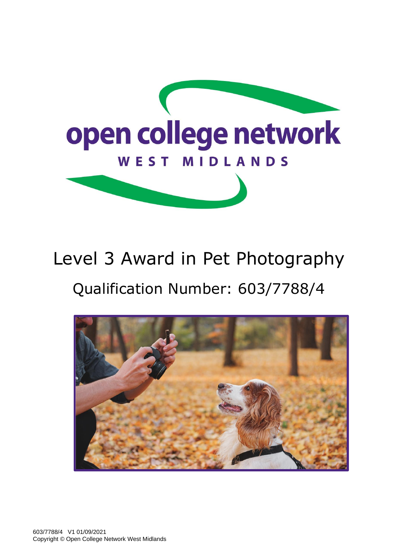

# Level 3 Award in Pet Photography Qualification Number: 603/7788/4

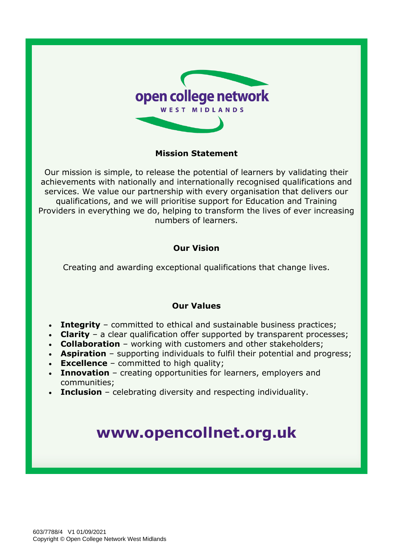

#### **Mission Statement**

Our mission is simple, to release the potential of learners by validating their achievements with nationally and internationally recognised qualifications and services. We value our partnership with every organisation that delivers our qualifications, and we will prioritise support for Education and Training Providers in everything we do, helping to transform the lives of ever increasing numbers of learners.

#### **Our Vision**

Creating and awarding exceptional qualifications that change lives.

#### **Our Values**

- **Integrity** committed to ethical and sustainable business practices;
- **Clarity** a clear qualification offer supported by transparent processes;
- **Collaboration** working with customers and other stakeholders;
- **Aspiration** supporting individuals to fulfil their potential and progress;
- **Excellence** committed to high quality;
- **Innovation** creating opportunities for learners, employers and communities;
- **Inclusion** celebrating diversity and respecting individuality.

# **[www.opencollnet.org.](http://www.ocnwmr.org.uk/)uk**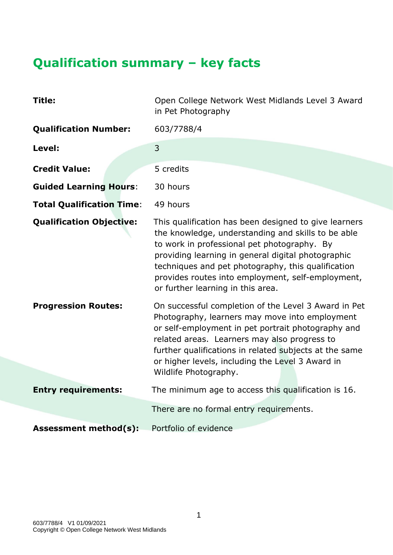### **Qualification summary – key facts**

| <b>Title:</b>                    | Open College Network West Midlands Level 3 Award<br>in Pet Photography                                                                                                                                                                                                                                                                                           |  |  |  |
|----------------------------------|------------------------------------------------------------------------------------------------------------------------------------------------------------------------------------------------------------------------------------------------------------------------------------------------------------------------------------------------------------------|--|--|--|
| <b>Qualification Number:</b>     | 603/7788/4                                                                                                                                                                                                                                                                                                                                                       |  |  |  |
| Level:                           | 3                                                                                                                                                                                                                                                                                                                                                                |  |  |  |
| <b>Credit Value:</b>             | 5 credits                                                                                                                                                                                                                                                                                                                                                        |  |  |  |
| <b>Guided Learning Hours:</b>    | 30 hours                                                                                                                                                                                                                                                                                                                                                         |  |  |  |
| <b>Total Qualification Time:</b> | 49 hours                                                                                                                                                                                                                                                                                                                                                         |  |  |  |
| <b>Qualification Objective:</b>  | This qualification has been designed to give learners<br>the knowledge, understanding and skills to be able<br>to work in professional pet photography. By<br>providing learning in general digital photographic<br>techniques and pet photography, this qualification<br>provides routes into employment, self-employment,<br>or further learning in this area. |  |  |  |
| <b>Progression Routes:</b>       | On successful completion of the Level 3 Award in Pet<br>Photography, learners may move into employment<br>or self-employment in pet portrait photography and<br>related areas. Learners may also progress to<br>further qualifications in related subjects at the same<br>or higher levels, including the Level 3 Award in<br>Wildlife Photography.              |  |  |  |
| <b>Entry requirements:</b>       | The minimum age to access this qualification is 16.                                                                                                                                                                                                                                                                                                              |  |  |  |
|                                  | There are no formal entry requirements.                                                                                                                                                                                                                                                                                                                          |  |  |  |
| <b>Assessment method(s):</b>     | Portfolio of evidence                                                                                                                                                                                                                                                                                                                                            |  |  |  |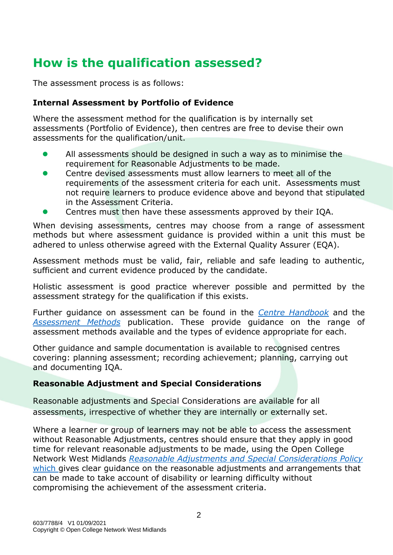### **How is the qualification assessed?**

The assessment process is as follows:

#### **Internal Assessment by Portfolio of Evidence**

Where the assessment method for the qualification is by internally set assessments (Portfolio of Evidence), then centres are free to devise their own assessments for the qualification/unit.

- ⚫ All assessments should be designed in such a way as to minimise the requirement for Reasonable Adjustments to be made.
- ⚫ Centre devised assessments must allow learners to meet all of the requirements of the assessment criteria for each unit. Assessments must not require learners to produce evidence above and beyond that stipulated in the Assessment Criteria.
- ⚫ Centres must then have these assessments approved by their IQA.

When devising assessments, centres may choose from a range of assessment methods but where assessment guidance is provided within a unit this must be adhered to unless otherwise agreed with the External Quality Assurer (EQA).

Assessment methods must be valid, fair, reliable and safe leading to authentic, sufficient and current evidence produced by the candidate.

Holistic assessment is good practice wherever possible and permitted by the assessment strategy for the qualification if this exists.

Further guidance on assessment can be found in the *[Centre Handbook](http://www.opencollnet.org.uk/centres/assessment-and-evidence?search=)* and the *[Assessment Methods](http://www.opencollnet.org.uk/centres/assessment-and-evidence?search=)* publication. These provide guidance on the range of assessment methods available and the types of evidence appropriate for each.

Other guidance and sample documentation is available to recognised centres covering: planning assessment; recording achievement; planning, carrying out and documenting IQA.

#### **Reasonable Adjustment and Special Considerations**

Reasonable adjustments and Special Considerations are available for all assessments, irrespective of whether they are internally or externally set.

Where a learner or group of learners may not be able to access the assessment without Reasonable Adjustments, centres should ensure that they apply in good time for relevant reasonable adjustments to be made, using the Open College Network West Midlands *[Reasonable Adjustments and Special Considerations Policy](http://www.opencollnet.org.uk/centres/policies-and-procedures?search=)* which gives clear guidance on the reasonable adjustments and arrangements that can be made to take account of disability or learning difficulty without compromising the achievement of the assessment criteria.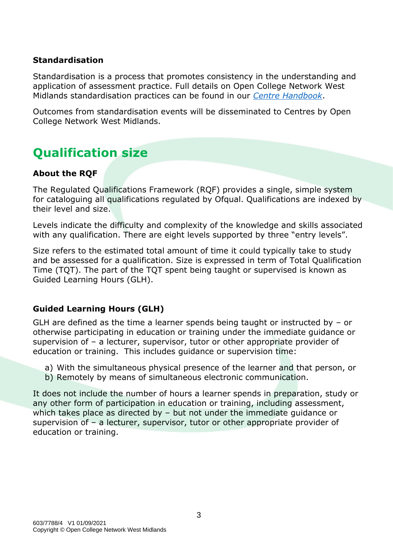#### **Standardisation**

Standardisation is a process that promotes consistency in the understanding and application of assessment practice. Full details on Open College Network West Midlands standardisation practices can be found in our *[Centre Handbook](http://www.opencollnet.org.uk/centres/assessment-and-evidence)*.

Outcomes from standardisation events will be disseminated to Centres by Open College Network West Midlands.

# **Qualification size**

#### **About the RQF**

The Regulated Qualifications Framework (RQF) provides a single, simple system for cataloguing all qualifications regulated by Ofqual. Qualifications are indexed by their level and size.

Levels indicate the difficulty and complexity of the knowledge and skills associated with any qualification. There are eight levels supported by three "entry levels".

Size refers to the estimated total amount of time it could typically take to study and be assessed for a qualification. Size is expressed in term of Total Qualification Time (TQT). The part of the TQT spent being taught or supervised is known as Guided Learning Hours (GLH).

#### **Guided Learning Hours (GLH)**

GLH are defined as the time a learner spends being taught or instructed by – or otherwise participating in education or training under the immediate guidance or supervision of – a lecturer, supervisor, tutor or other appropriate provider of education or training. This includes guidance or supervision time:

a) With the simultaneous physical presence of the learner and that person, or b) Remotely by means of simultaneous electronic communication.

It does not include the number of hours a learner spends in preparation, study or any other form of participation in education or training, including assessment, which takes place as directed by – but not under the immediate guidance or supervision of – a lecturer, supervisor, tutor or other appropriate provider of education or training.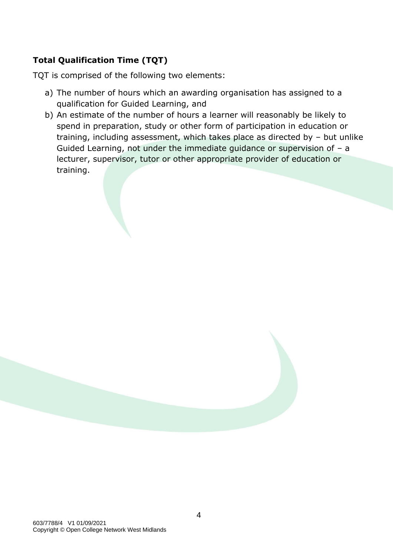#### **Total Qualification Time (TQT)**

TQT is comprised of the following two elements:

- a) The number of hours which an awarding organisation has assigned to a qualification for Guided Learning, and
- b) An estimate of the number of hours a learner will reasonably be likely to spend in preparation, study or other form of participation in education or training, including assessment, which takes place as directed by – but unlike Guided Learning, not under the immediate guidance or supervision of – a lecturer, supervisor, tutor or other appropriate provider of education or training.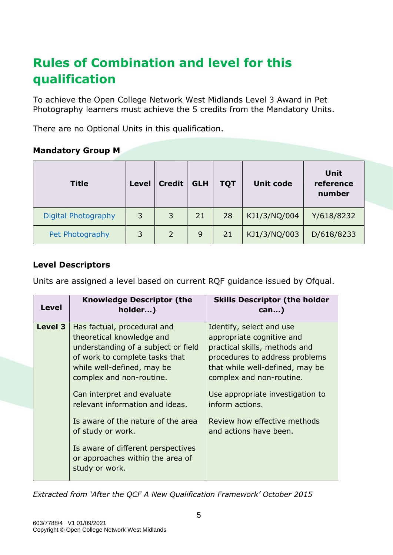# **Rules of Combination and level for this qualification**

To achieve the Open College Network West Midlands Level 3 Award in Pet Photography learners must achieve the 5 credits from the Mandatory Units.

There are no Optional Units in this qualification.

#### **Mandatory Group M**

| <b>Title</b>               | <b>Level</b> | <b>Credit</b> | <b>GLH</b> | <b>TQT</b> | <b>Unit code</b> | <b>Unit</b><br>reference<br>number |
|----------------------------|--------------|---------------|------------|------------|------------------|------------------------------------|
| <b>Digital Photography</b> | 3            | 3             | 21         | 28         | KJ1/3/NQ/004     | Y/618/8232                         |
| Pet Photography            | 3            | 2             | 9          | 21         | KJ1/3/NQ/003     | D/618/8233                         |

#### **Level Descriptors**

Units are assigned a level based on current RQF guidance issued by Ofqual.

| <b>Level</b> | <b>Knowledge Descriptor (the</b><br>holder) | <b>Skills Descriptor (the holder</b><br>$can$ ) |
|--------------|---------------------------------------------|-------------------------------------------------|
| Level 3      | Has factual, procedural and                 | Identify, select and use                        |
|              | theoretical knowledge and                   | appropriate cognitive and                       |
|              | understanding of a subject or field         | practical skills, methods and                   |
|              | of work to complete tasks that              | procedures to address problems                  |
|              | while well-defined, may be                  | that while well-defined, may be                 |
|              | complex and non-routine.                    | complex and non-routine.                        |
|              | Can interpret and evaluate                  | Use appropriate investigation to                |
|              | relevant information and ideas.             | inform actions.                                 |
|              | Is aware of the nature of the area          | Review how effective methods                    |
|              | of study or work.                           | and actions have been.                          |
|              | Is aware of different perspectives          |                                                 |
|              | or approaches within the area of            |                                                 |
|              | study or work.                              |                                                 |
|              |                                             |                                                 |

*Extracted from 'After the QCF A New Qualification Framework' October 2015*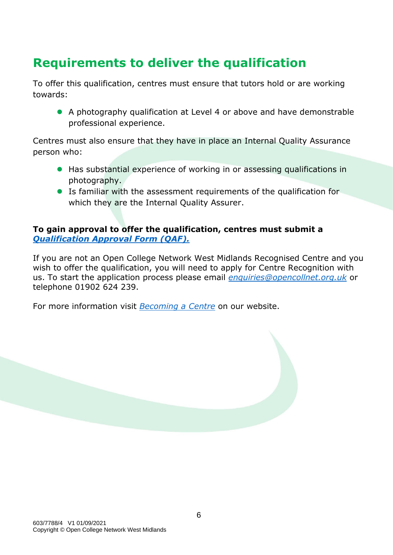### **Requirements to deliver the qualification**

To offer this qualification, centres must ensure that tutors hold or are working towards:

● A photography qualification at Level 4 or above and have demonstrable professional experience.

Centres must also ensure that they have in place an Internal Quality Assurance person who:

- ⚫ Has substantial experience of working in or assessing qualifications in photography.
- ⚫ Is familiar with the assessment requirements of the qualification for which they are the Internal Quality Assurer.

#### **To gain approval to offer the qualification, centres must submit a**  *[Qualification Approval Form \(QAF\).](https://www.opencollnet.org.uk/qualifications/qualification-approval)*

If you are not an Open College Network West Midlands Recognised Centre and you wish to offer the qualification, you will need to apply for Centre Recognition with us. To start the application process please email *[enquiries@opencollnet.org.uk](mailto:enquiries@opencollnet.org.uk)* or telephone 01902 624 239.

For more information visit *[Becoming a Centre](http://www.opencollnet.org.uk/centres/becoming-a-centre)* on our website.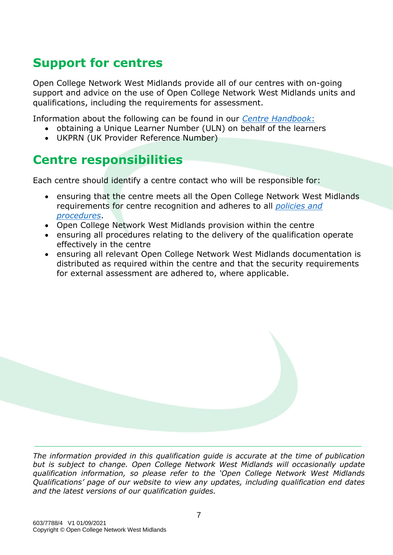### **Support for centres**

Open College Network West Midlands provide all of our centres with on-going support and advice on the use of Open College Network West Midlands units and qualifications, including the requirements for assessment.

Information about the following can be found in our *[Centre Handbook](http://www.opencollnet.org.uk/centres/assessment-and-evidence)*:

- obtaining a Unique Learner Number (ULN) on behalf of the learners
- UKPRN (UK Provider Reference Number)

### **Centre responsibilities**

Each centre should identify a centre contact who will be responsible for:

- ensuring that the centre meets all the Open College Network West Midlands requirements for centre recognition and adheres to all *[policies and](http://www.opencollnet.org.uk/centres/policies-and-procedures) [procedures](http://www.opencollnet.org.uk/centres/policies-and-procedures)*.
- Open College Network West Midlands provision within the centre
- ensuring all procedures relating to the delivery of the qualification operate effectively in the centre
- ensuring all relevant Open College Network West Midlands documentation is distributed as required within the centre and that the security requirements for external assessment are adhered to, where applicable.



*The information provided in this qualification guide is accurate at the time of publication but is subject to change. Open College Network West Midlands will occasionally update qualification information, so please refer to the 'Open College Network West Midlands Qualifications' page of our website to view any updates, including qualification end dates and the latest versions of our qualification guides.*